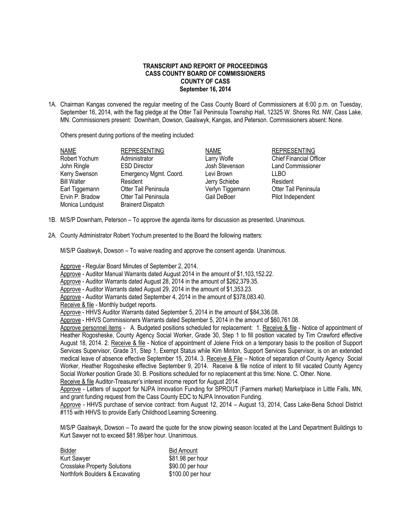## **TRANSCRIPT AND REPORT OF PROCEEDINGS CASS COUNTY BOARD OF COMMISSIONERS COUNTY OF CASS September 16, 2014**

1A. Chairman Kangas convened the regular meeting of the Cass County Board of Commissioners at 6:00 p.m. on Tuesday, September 16, 2014, with the flag pledge at the Otter Tail Peninsula Township Hall, 12325 W. Shores Rd. NW, Cass Lake, MN. Commissioners present: Downham, Dowson, Gaalswyk, Kangas, and Peterson. Commissioners absent: None.

Others present during portions of the meeting included:

| <b>NAME</b>        | <b>REPRESENTING</b>      | <b>NAME</b>      | <b>REPRESENTING</b>            |
|--------------------|--------------------------|------------------|--------------------------------|
| Robert Yochum      | Administrator            | Larry Wolfe      | <b>Chief Financial Officer</b> |
| John Ringle        | <b>ESD Director</b>      | Josh Stevenson   | <b>Land Commissioner</b>       |
| Kerry Swenson      | Emergency Mgmt. Coord.   | Levi Brown       | LLBO                           |
| <b>Bill Walter</b> | Resident                 | Jerry Schiebe    | Resident                       |
| Earl Tiggemann     | Otter Tail Peninsula     | Verlyn Tiggemann | <b>Otter Tail Peninsula</b>    |
| Ervin P. Bradow    | Otter Tail Peninsula     | Gail DeBoer      | Pilot Independent              |
| Monica Lundquist   | <b>Brainerd Dispatch</b> |                  |                                |
|                    |                          |                  |                                |

- 1B. M/S/P Downham, Peterson To approve the agenda items for discussion as presented. Unanimous.
- 2A. County Administrator Robert Yochum presented to the Board the following matters:

M/S/P Gaalswyk, Dowson – To waive reading and approve the consent agenda. Unanimous.

Approve - Regular Board Minutes of September 2, 2014.

Approve - Auditor Manual Warrants dated August 2014 in the amount of \$1,103,152.22.

Approve - Auditor Warrants dated August 28, 2014 in the amount of \$262,379.35.

Approve - Auditor Warrants dated August 29, 2014 in the amount of \$1,353.23.

Approve - Auditor Warrants dated September 4, 2014 in the amount of \$378,083.40.

Receive & file - Monthly budget reports.

Approve - HHVS Auditor Warrants dated September 5, 2014 in the amount of \$84,336.08.

Approve - HHVS Commissioners Warrants dated September 5, 2014 in the amount of \$60,761.08.

Approve personnel items - A. Budgeted positions scheduled for replacement: 1. Receive & file - Notice of appointment of Heather Rogosheske, County Agency Social Worker, Grade 30, Step 1 to fill position vacated by Tim Crawford effective August 18, 2014. 2. Receive & file - Notice of appointment of Jolene Frick on a temporary basis to the position of Support Services Supervisor, Grade 31, Step 1, Exempt Status while Kim Minton, Support Services Supervisor, is on an extended medical leave of absence effective September 15, 2014. 3. Receive & File – Notice of separation of County Agency Social Worker, Heather Rogosheske effective September 9, 2014. Receive & file notice of intent to fill vacated County Agency Social Worker position Grade 30. B. Positions scheduled for no replacement at this time: None. C. Other. None. Receive & file Auditor-Treasurer's interest income report for August 2014.

Approve - Letters of support for NJPA Innovation Funding for SPROUT (Farmers market) Marketplace in Little Falls, MN, and grant funding request from the Cass County EDC to NJPA Innovation Funding.

Approve - HHVS purchase of service contract: from August 12, 2014 – August 13, 2014, Cass Lake-Bena School District #115 with HHVS to provide Early Childhood Learning Screening.

M/S/P Gaalswyk, Dowson – To award the quote for the snow plowing season located at the Land Department Buildings to Kurt Sawyer not to exceed \$81.98/per hour. Unanimous.

| Bidder                              | <b>Bid Amount</b> |
|-------------------------------------|-------------------|
| <b>Kurt Sawyer</b>                  | \$81.98 per hour  |
| <b>Crosslake Property Solutions</b> | \$90.00 per hour  |
| Northfork Boulders & Excavating     | \$100.00 per hour |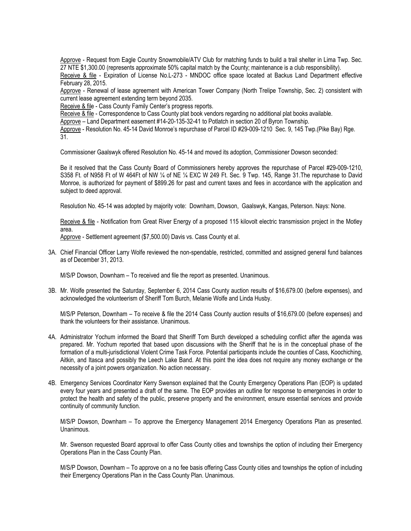Approve - Request from Eagle Country Snowmobile/ATV Club for matching funds to build a trail shelter in Lima Twp. Sec. 27 NTE \$1,300.00 (represents approximate 50% capital match by the County; maintenance is a club responsibility).

Receive & file - Expiration of License No.L-273 - MNDOC office space located at Backus Land Department effective February 28, 2015.

Approve - Renewal of lease agreement with American Tower Company (North Trelipe Township, Sec. 2) consistent with current lease agreement extending term beyond 2035.

Receive & file - Cass County Family Center's progress reports.

Receive & file - Correspondence to Cass County plat book vendors regarding no additional plat books available.

Approve – Land Department easement #14-20-135-32-41 to Potlatch in section 20 of Byron Township.

Approve - Resolution No. 45-14 David Monroe's repurchase of Parcel ID #29-009-1210 Sec. 9, 145 Twp.(Pike Bay) Rge. 31.

Commissioner Gaalswyk offered Resolution No. 45-14 and moved its adoption, Commissioner Dowson seconded:

Be it resolved that the Cass County Board of Commissioners hereby approves the repurchase of Parcel #29-009-1210, S358 Ft. of N958 Ft of W 464Ft of NW 1/4 of NE 1/4 EXC W 249 Ft. Sec. 9 Twp. 145, Range 31. The repurchase to David Monroe, is authorized for payment of \$899.26 for past and current taxes and fees in accordance with the application and subject to deed approval.

Resolution No. 45-14 was adopted by majority vote: Downham, Dowson, Gaalswyk, Kangas, Peterson. Nays: None.

Receive & file - Notification from Great River Energy of a proposed 115 kilovolt electric transmission project in the Motley area.

Approve - Settlement agreement (\$7,500.00) Davis vs. Cass County et al.

3A. Chief Financial Officer Larry Wolfe reviewed the non-spendable, restricted, committed and assigned general fund balances as of December 31, 2013.

M/S/P Dowson, Downham – To received and file the report as presented. Unanimous.

3B. Mr. Wolfe presented the Saturday, September 6, 2014 Cass County auction results of \$16,679.00 (before expenses), and acknowledged the volunteerism of Sheriff Tom Burch, Melanie Wolfe and Linda Husby.

M/S/P Peterson, Downham – To receive & file the 2014 Cass County auction results of \$16,679.00 (before expenses) and thank the volunteers for their assistance. Unanimous.

- 4A. Administrator Yochum informed the Board that Sheriff Tom Burch developed a scheduling conflict after the agenda was prepared. Mr. Yochum reported that based upon discussions with the Sheriff that he is in the conceptual phase of the formation of a multi-jurisdictional Violent Crime Task Force. Potential participants include the counties of Cass, Koochiching, Aitkin, and Itasca and possibly the Leech Lake Band. At this point the idea does not require any money exchange or the necessity of a joint powers organization. No action necessary.
- 4B. Emergency Services Coordinator Kerry Swenson explained that the County Emergency Operations Plan (EOP) is updated every four years and presented a draft of the same. The EOP provides an outline for response to emergencies in order to protect the health and safety of the public, preserve property and the environment, ensure essential services and provide continuity of community function.

M/S/P Dowson, Downham – To approve the Emergency Management 2014 Emergency Operations Plan as presented. Unanimous.

Mr. Swenson requested Board approval to offer Cass County cities and townships the option of including their Emergency Operations Plan in the Cass County Plan.

M/S/P Dowson, Downham – To approve on a no fee basis offering Cass County cities and townships the option of including their Emergency Operations Plan in the Cass County Plan. Unanimous.